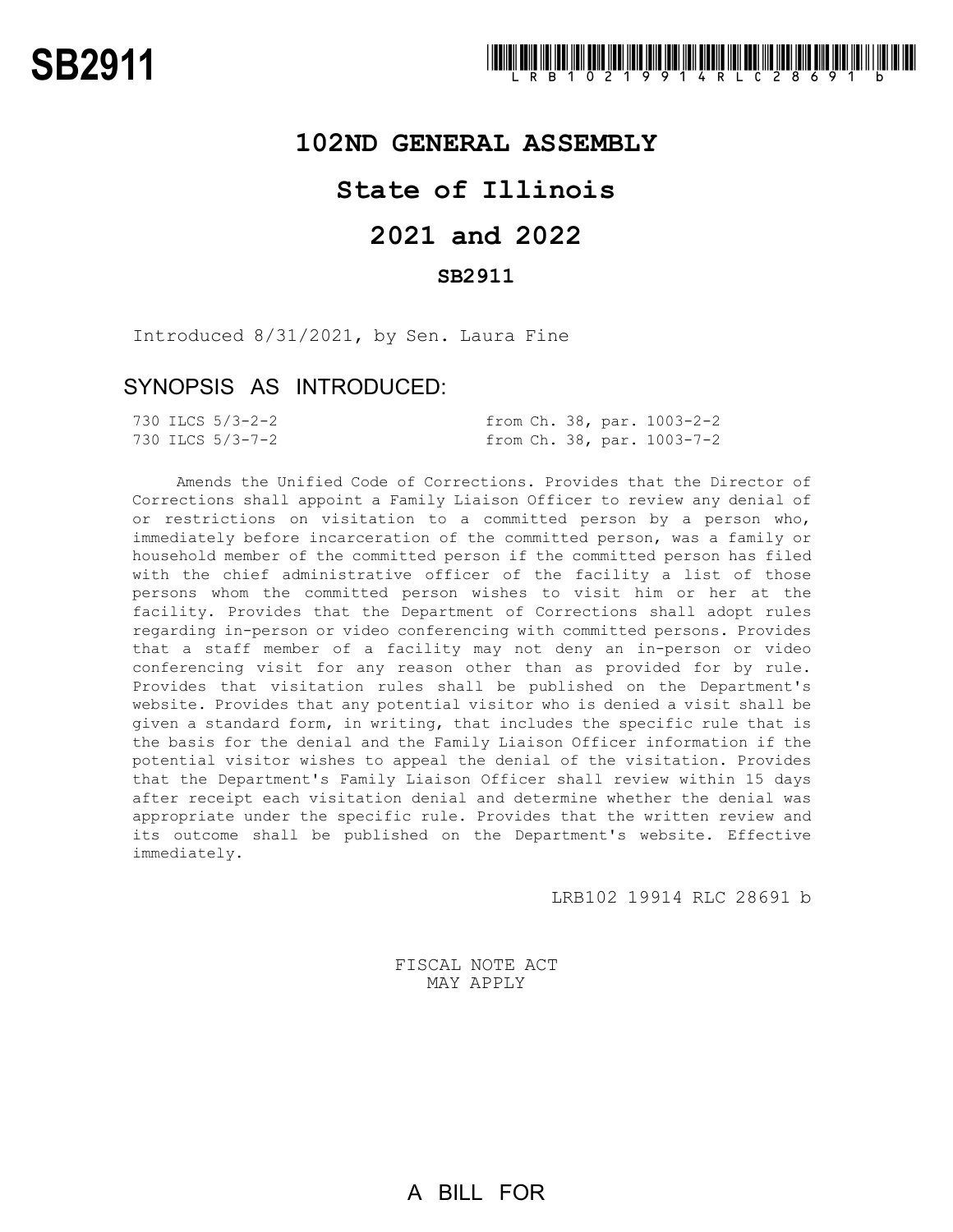### **102ND GENERAL ASSEMBLY**

## **State of Illinois**

# **2021 and 2022**

### **SB2911**

Introduced 8/31/2021, by Sen. Laura Fine

### SYNOPSIS AS INTRODUCED:

|  | 730 ILCS 5/3-2-2 |  |  | from Ch. 38, par. 1003-2-2 |
|--|------------------|--|--|----------------------------|
|  | 730 ILCS 5/3-7-2 |  |  | from Ch. 38, par. 1003-7-2 |

Amends the Unified Code of Corrections. Provides that the Director of Corrections shall appoint a Family Liaison Officer to review any denial of or restrictions on visitation to a committed person by a person who, immediately before incarceration of the committed person, was a family or household member of the committed person if the committed person has filed with the chief administrative officer of the facility a list of those persons whom the committed person wishes to visit him or her at the facility. Provides that the Department of Corrections shall adopt rules regarding in-person or video conferencing with committed persons. Provides that a staff member of a facility may not deny an in-person or video conferencing visit for any reason other than as provided for by rule. Provides that visitation rules shall be published on the Department's website. Provides that any potential visitor who is denied a visit shall be given a standard form, in writing, that includes the specific rule that is the basis for the denial and the Family Liaison Officer information if the potential visitor wishes to appeal the denial of the visitation. Provides that the Department's Family Liaison Officer shall review within 15 days after receipt each visitation denial and determine whether the denial was appropriate under the specific rule. Provides that the written review and its outcome shall be published on the Department's website. Effective immediately.

LRB102 19914 RLC 28691 b

FISCAL NOTE ACT MAY APPLY

A BILL FOR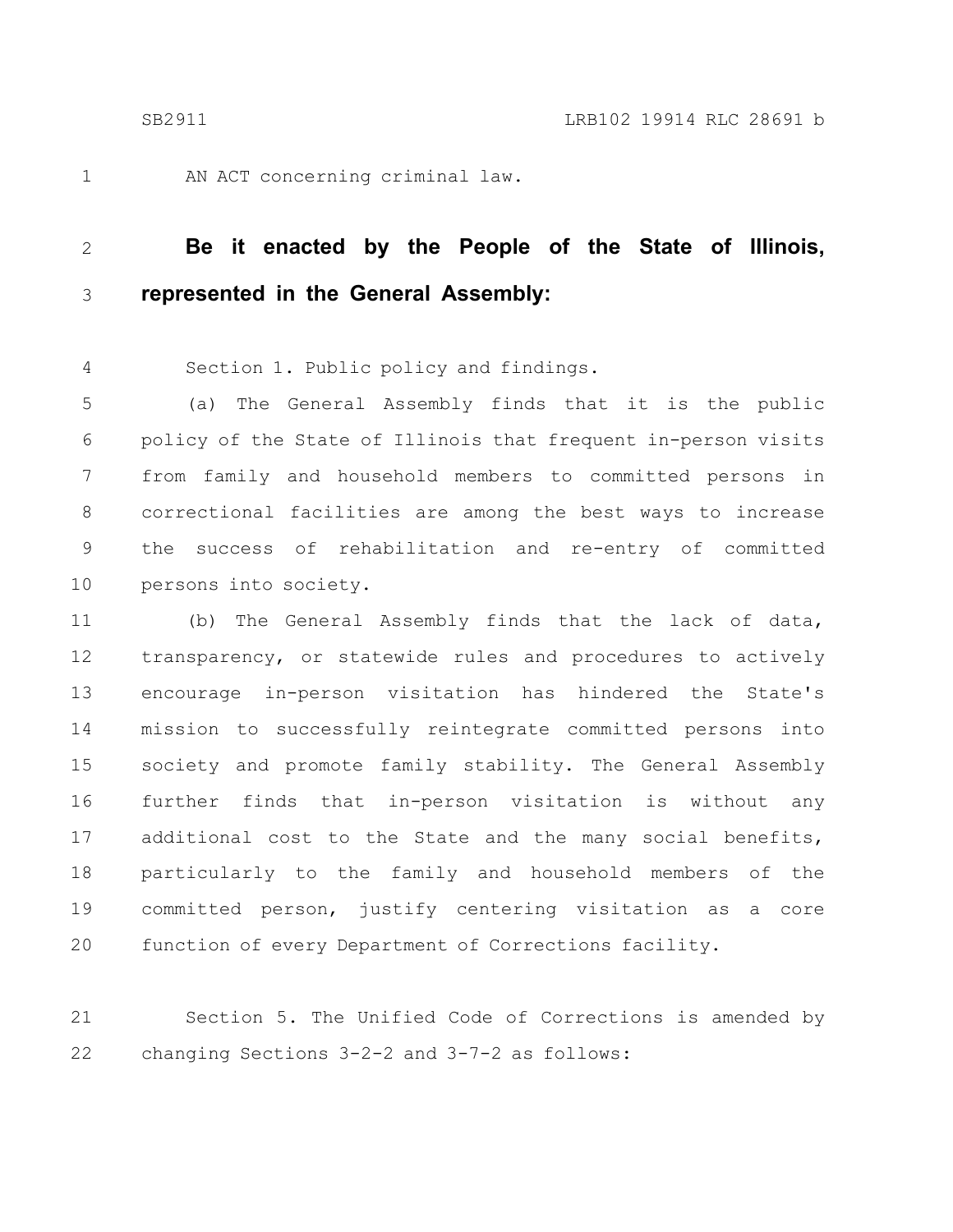1

AN ACT concerning criminal law.

#### **Be it enacted by the People of the State of Illinois, represented in the General Assembly:** 2 3

Section 1. Public policy and findings. 4

(a) The General Assembly finds that it is the public policy of the State of Illinois that frequent in-person visits from family and household members to committed persons in correctional facilities are among the best ways to increase the success of rehabilitation and re-entry of committed persons into society. 5 6 7 8 9 10

(b) The General Assembly finds that the lack of data, transparency, or statewide rules and procedures to actively encourage in-person visitation has hindered the State's mission to successfully reintegrate committed persons into society and promote family stability. The General Assembly further finds that in-person visitation is without any additional cost to the State and the many social benefits, particularly to the family and household members of the committed person, justify centering visitation as a core function of every Department of Corrections facility. 11 12 13 14 15 16 17 18 19  $20$ 

Section 5. The Unified Code of Corrections is amended by changing Sections 3-2-2 and 3-7-2 as follows: 21 22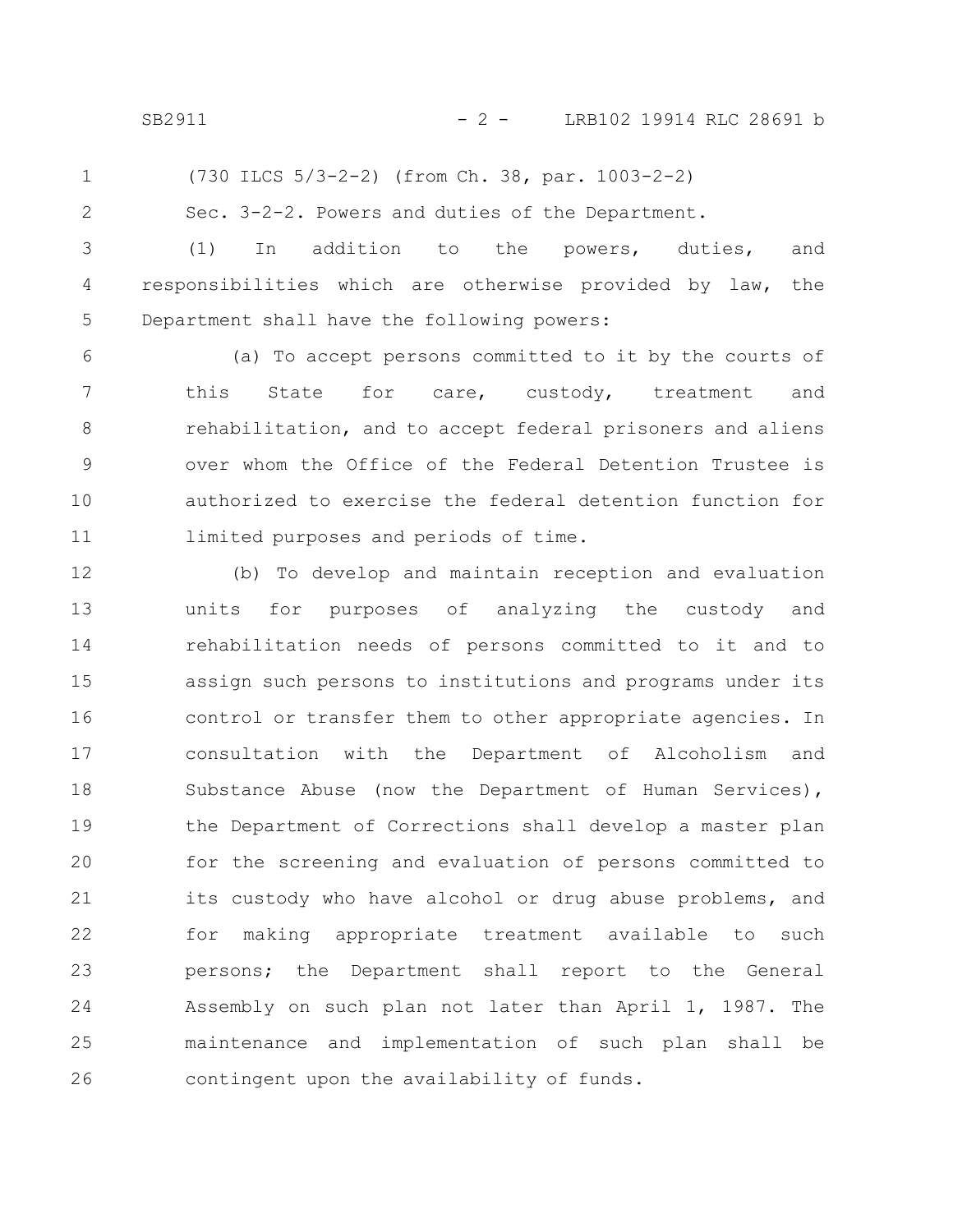SB2911 - 2 - LRB102 19914 RLC 28691 b

1

(730 ILCS 5/3-2-2) (from Ch. 38, par. 1003-2-2)

2

Sec. 3-2-2. Powers and duties of the Department.

(1) In addition to the powers, duties, and responsibilities which are otherwise provided by law, the Department shall have the following powers: 3 4 5

(a) To accept persons committed to it by the courts of this State for care, custody, treatment and rehabilitation, and to accept federal prisoners and aliens over whom the Office of the Federal Detention Trustee is authorized to exercise the federal detention function for limited purposes and periods of time. 6 7 8 9 10 11

(b) To develop and maintain reception and evaluation units for purposes of analyzing the custody and rehabilitation needs of persons committed to it and to assign such persons to institutions and programs under its control or transfer them to other appropriate agencies. In consultation with the Department of Alcoholism and Substance Abuse (now the Department of Human Services), the Department of Corrections shall develop a master plan for the screening and evaluation of persons committed to its custody who have alcohol or drug abuse problems, and for making appropriate treatment available to such persons; the Department shall report to the General Assembly on such plan not later than April 1, 1987. The maintenance and implementation of such plan shall be contingent upon the availability of funds. 12 13 14 15 16 17 18 19 20 21 22 23 24 25 26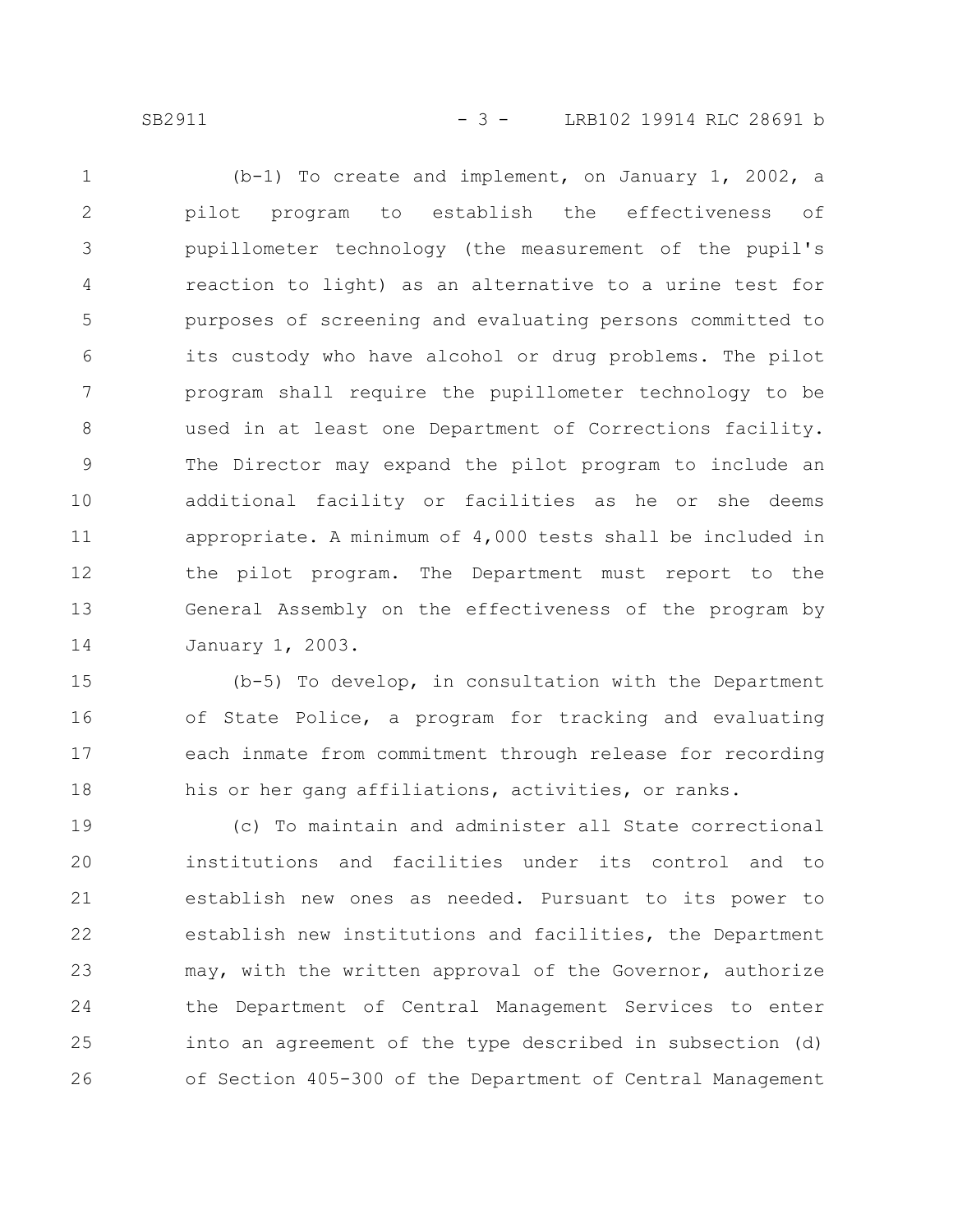SB2911 - 3 - LRB102 19914 RLC 28691 b

(b-1) To create and implement, on January 1, 2002, a pilot program to establish the effectiveness of pupillometer technology (the measurement of the pupil's reaction to light) as an alternative to a urine test for purposes of screening and evaluating persons committed to its custody who have alcohol or drug problems. The pilot program shall require the pupillometer technology to be used in at least one Department of Corrections facility. The Director may expand the pilot program to include an additional facility or facilities as he or she deems appropriate. A minimum of 4,000 tests shall be included in the pilot program. The Department must report to the General Assembly on the effectiveness of the program by January 1, 2003. 1 2 3 4 5 6 7 8 9 10 11 12 13 14

(b-5) To develop, in consultation with the Department of State Police, a program for tracking and evaluating each inmate from commitment through release for recording his or her gang affiliations, activities, or ranks. 15 16 17 18

(c) To maintain and administer all State correctional institutions and facilities under its control and to establish new ones as needed. Pursuant to its power to establish new institutions and facilities, the Department may, with the written approval of the Governor, authorize the Department of Central Management Services to enter into an agreement of the type described in subsection (d) of Section 405-300 of the Department of Central Management 19 20 21 22 23 24 25 26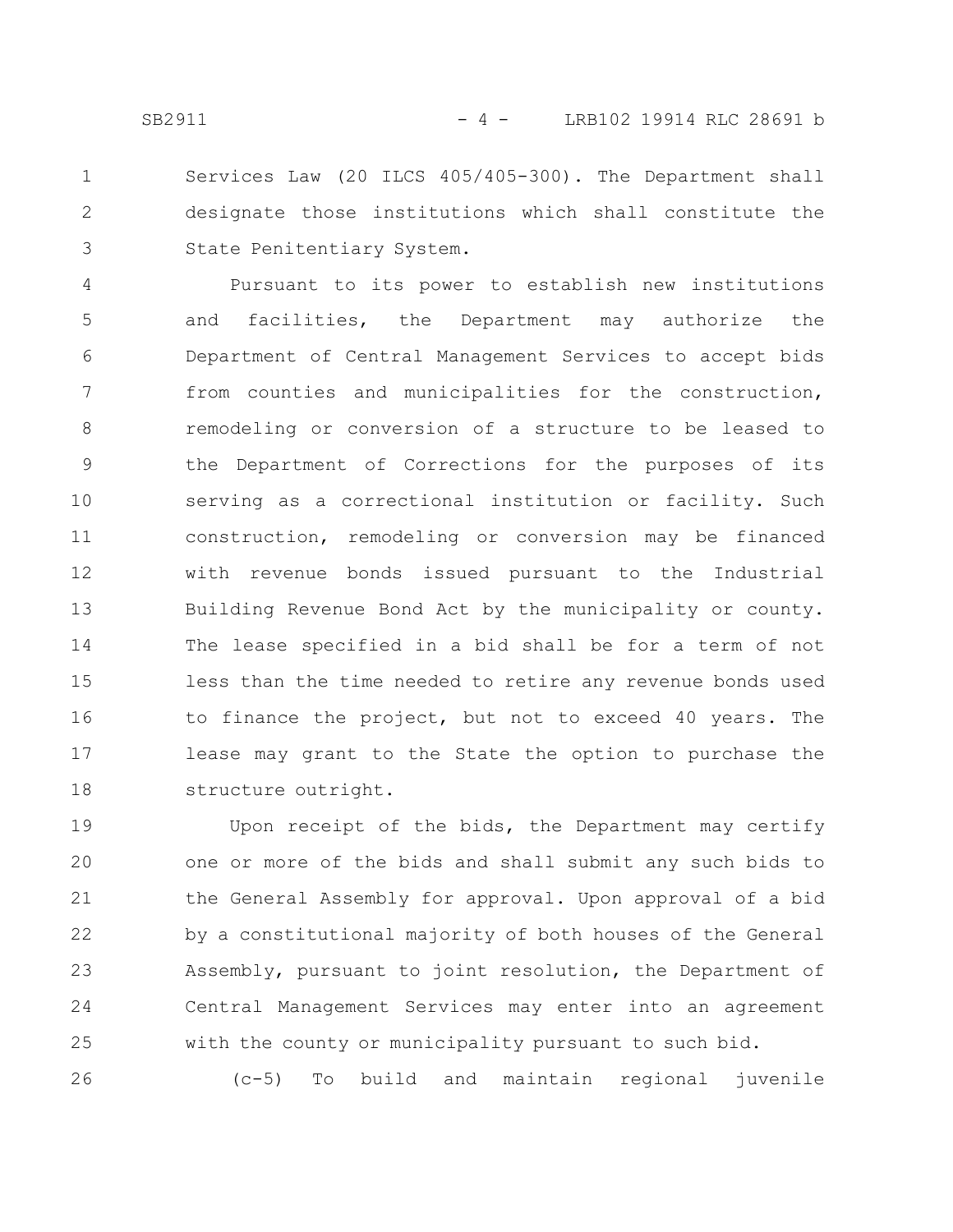Services Law (20 ILCS 405/405-300). The Department shall designate those institutions which shall constitute the State Penitentiary System. 1 2 3

Pursuant to its power to establish new institutions and facilities, the Department may authorize the Department of Central Management Services to accept bids from counties and municipalities for the construction, remodeling or conversion of a structure to be leased to the Department of Corrections for the purposes of its serving as a correctional institution or facility. Such construction, remodeling or conversion may be financed with revenue bonds issued pursuant to the Industrial Building Revenue Bond Act by the municipality or county. The lease specified in a bid shall be for a term of not less than the time needed to retire any revenue bonds used to finance the project, but not to exceed 40 years. The lease may grant to the State the option to purchase the structure outright. 4 5 6 7 8 9 10 11 12 13 14 15 16 17 18

Upon receipt of the bids, the Department may certify one or more of the bids and shall submit any such bids to the General Assembly for approval. Upon approval of a bid by a constitutional majority of both houses of the General Assembly, pursuant to joint resolution, the Department of Central Management Services may enter into an agreement with the county or municipality pursuant to such bid. 19 20 21 22 23 24 25

(c-5) To build and maintain regional juvenile

26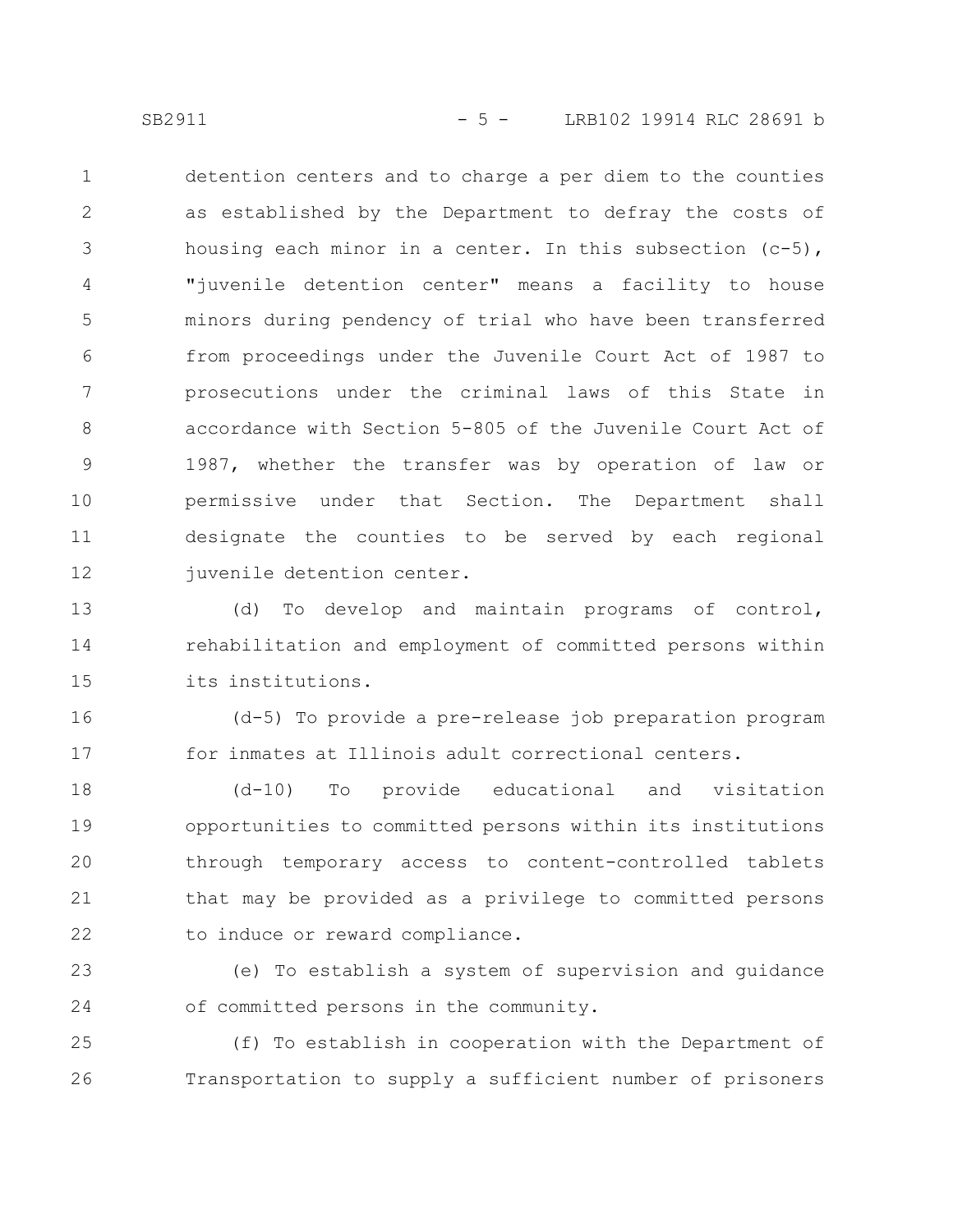detention centers and to charge a per diem to the counties as established by the Department to defray the costs of housing each minor in a center. In this subsection (c-5), "juvenile detention center" means a facility to house minors during pendency of trial who have been transferred from proceedings under the Juvenile Court Act of 1987 to prosecutions under the criminal laws of this State in accordance with Section 5-805 of the Juvenile Court Act of 1987, whether the transfer was by operation of law or permissive under that Section. The Department shall designate the counties to be served by each regional juvenile detention center. 1 2 3 4 5 6 7 8 9 10 11 12

(d) To develop and maintain programs of control, rehabilitation and employment of committed persons within its institutions. 13 14 15

(d-5) To provide a pre-release job preparation program for inmates at Illinois adult correctional centers. 16 17

(d-10) To provide educational and visitation opportunities to committed persons within its institutions through temporary access to content-controlled tablets that may be provided as a privilege to committed persons to induce or reward compliance. 18 19 20 21 22

(e) To establish a system of supervision and guidance of committed persons in the community. 23 24

(f) To establish in cooperation with the Department of Transportation to supply a sufficient number of prisoners 25 26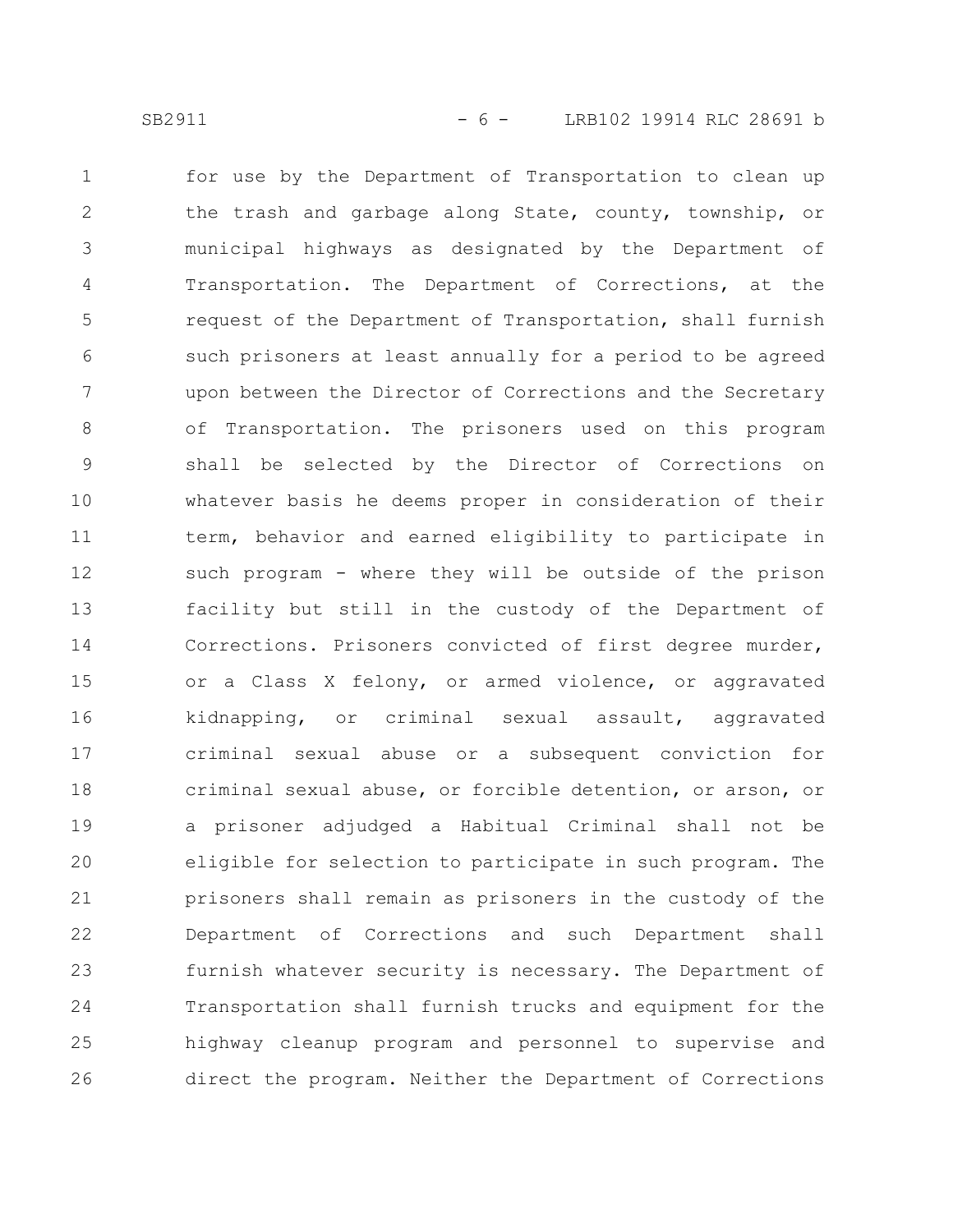for use by the Department of Transportation to clean up the trash and garbage along State, county, township, or municipal highways as designated by the Department of Transportation. The Department of Corrections, at the request of the Department of Transportation, shall furnish such prisoners at least annually for a period to be agreed upon between the Director of Corrections and the Secretary of Transportation. The prisoners used on this program shall be selected by the Director of Corrections on whatever basis he deems proper in consideration of their term, behavior and earned eligibility to participate in such program - where they will be outside of the prison facility but still in the custody of the Department of Corrections. Prisoners convicted of first degree murder, or a Class X felony, or armed violence, or aggravated kidnapping, or criminal sexual assault, aggravated criminal sexual abuse or a subsequent conviction for criminal sexual abuse, or forcible detention, or arson, or a prisoner adjudged a Habitual Criminal shall not be eligible for selection to participate in such program. The prisoners shall remain as prisoners in the custody of the Department of Corrections and such Department shall furnish whatever security is necessary. The Department of Transportation shall furnish trucks and equipment for the highway cleanup program and personnel to supervise and direct the program. Neither the Department of Corrections 1 2 3 4 5 6 7 8 9 10 11 12 13 14 15 16 17 18 19 20 21 22 23 24 25 26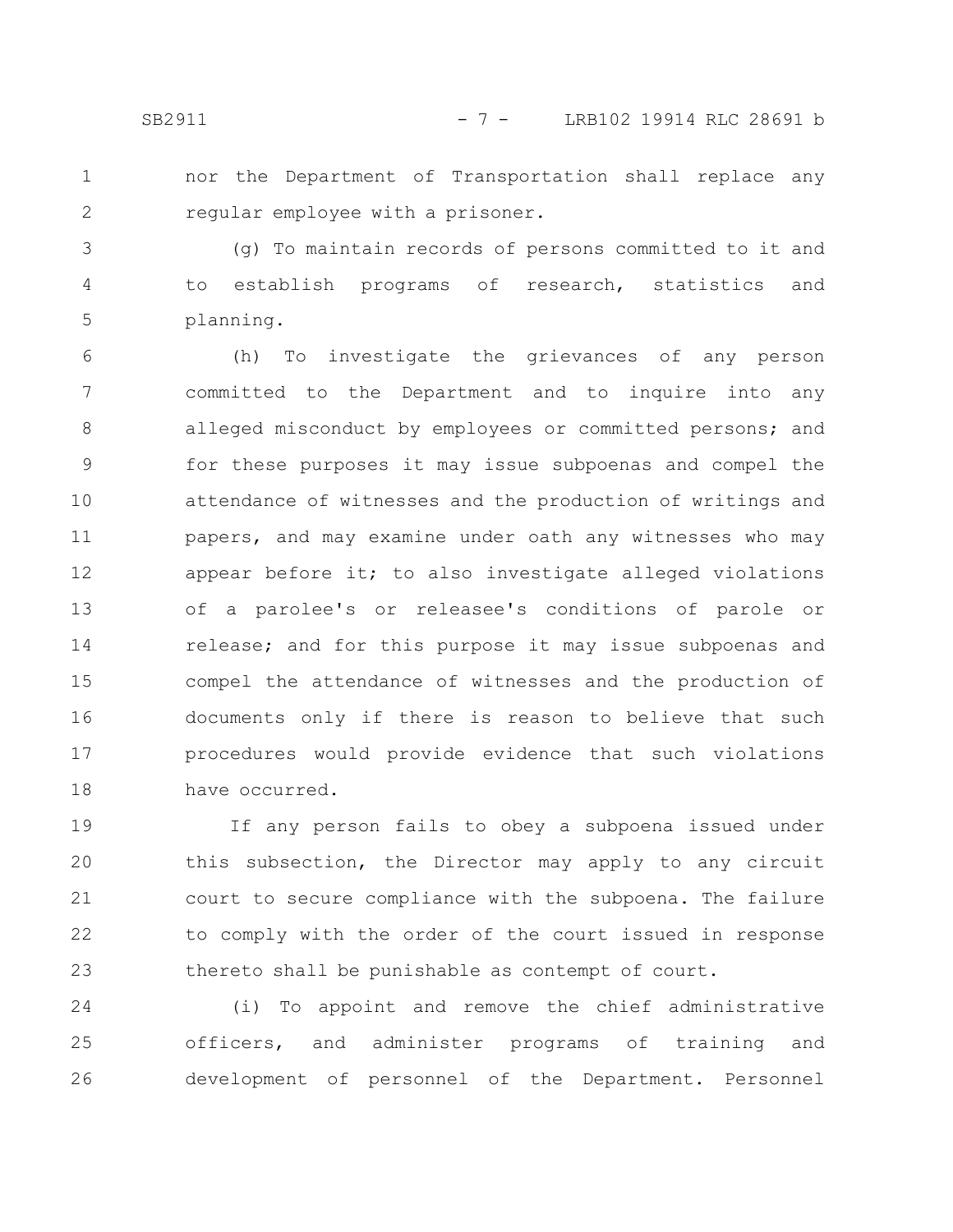1 2 nor the Department of Transportation shall replace any regular employee with a prisoner.

(g) To maintain records of persons committed to it and to establish programs of research, statistics and planning. 3 4 5

(h) To investigate the grievances of any person committed to the Department and to inquire into any alleged misconduct by employees or committed persons; and for these purposes it may issue subpoenas and compel the attendance of witnesses and the production of writings and papers, and may examine under oath any witnesses who may appear before it; to also investigate alleged violations of a parolee's or releasee's conditions of parole or release; and for this purpose it may issue subpoenas and compel the attendance of witnesses and the production of documents only if there is reason to believe that such procedures would provide evidence that such violations have occurred. 6 7 8 9 10 11 12 13 14 15 16 17 18

If any person fails to obey a subpoena issued under this subsection, the Director may apply to any circuit court to secure compliance with the subpoena. The failure to comply with the order of the court issued in response thereto shall be punishable as contempt of court. 19 20 21 22 23

(i) To appoint and remove the chief administrative officers, and administer programs of training and development of personnel of the Department. Personnel 24 25 26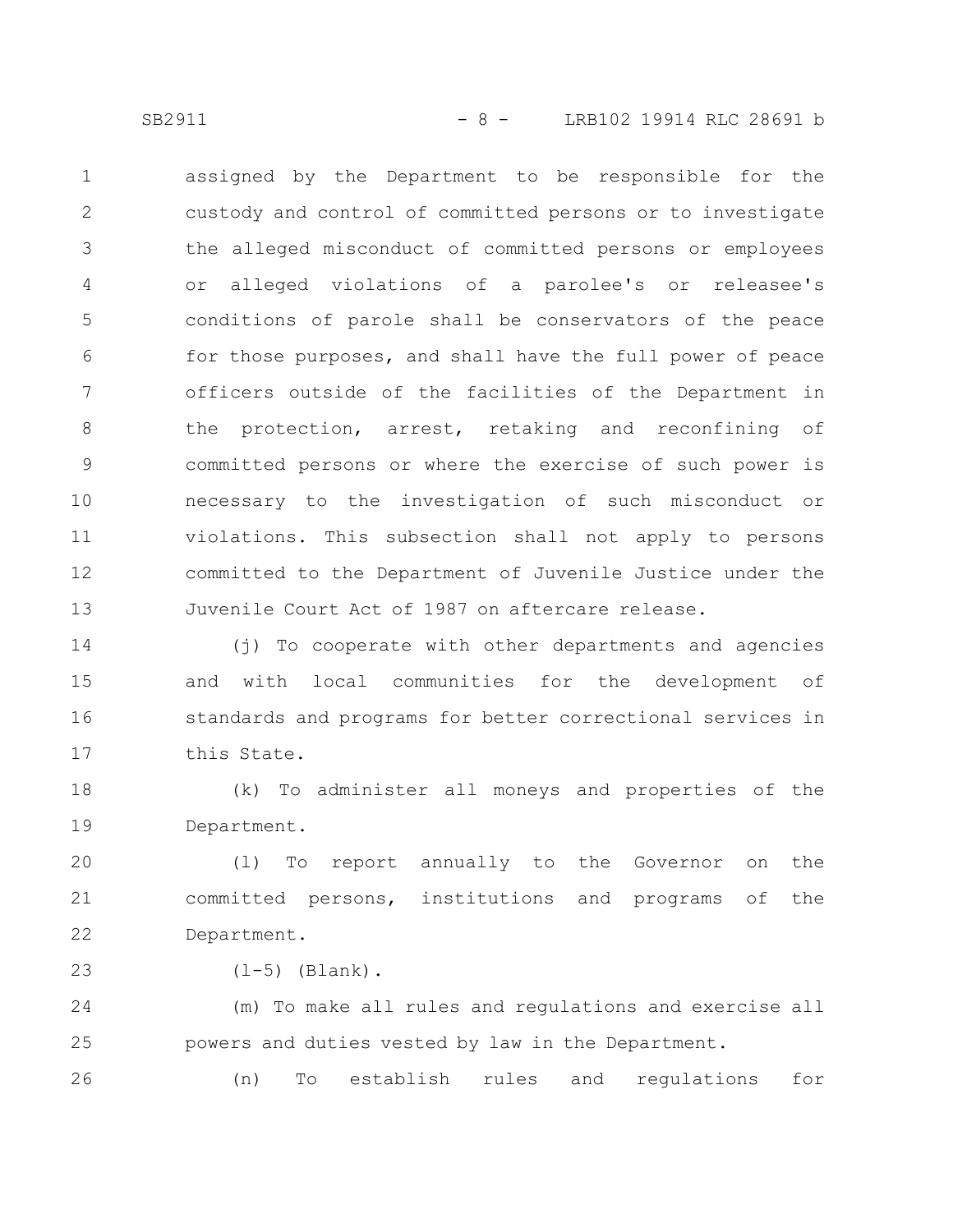SB2911 - 8 - LRB102 19914 RLC 28691 b

assigned by the Department to be responsible for the custody and control of committed persons or to investigate the alleged misconduct of committed persons or employees or alleged violations of a parolee's or releasee's conditions of parole shall be conservators of the peace for those purposes, and shall have the full power of peace officers outside of the facilities of the Department in the protection, arrest, retaking and reconfining of committed persons or where the exercise of such power is necessary to the investigation of such misconduct or violations. This subsection shall not apply to persons committed to the Department of Juvenile Justice under the Juvenile Court Act of 1987 on aftercare release. 1 2 3 4 5 6 7 8 9 10 11 12 13

(j) To cooperate with other departments and agencies and with local communities for the development of standards and programs for better correctional services in this State. 14 15 16 17

(k) To administer all moneys and properties of the Department. 18 19

(l) To report annually to the Governor on the committed persons, institutions and programs of the Department. 20 21 22

 $(1-5)$  (Blank). 23

(m) To make all rules and regulations and exercise all powers and duties vested by law in the Department. 24 25

(n) To establish rules and regulations for 26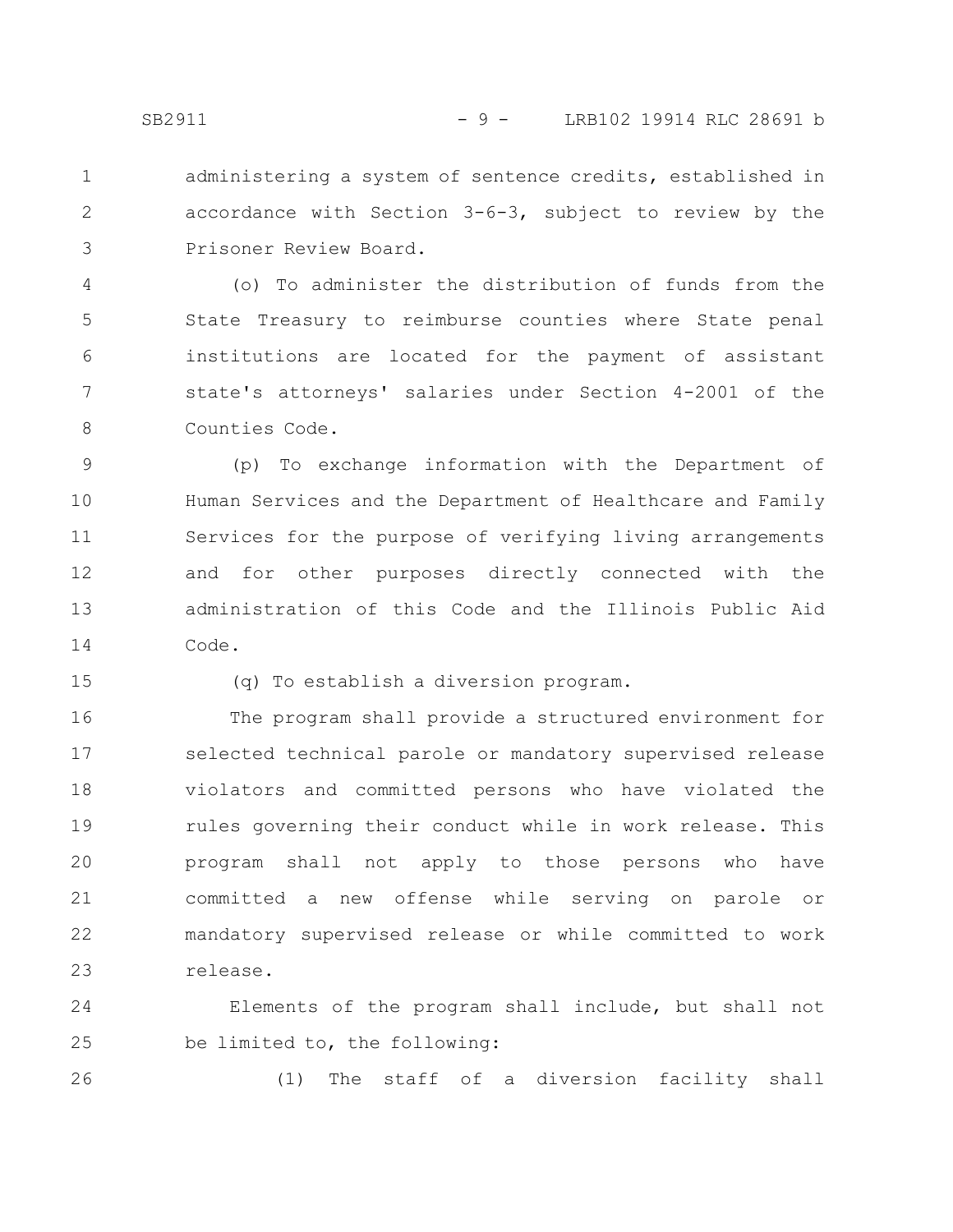administering a system of sentence credits, established in accordance with Section 3-6-3, subject to review by the Prisoner Review Board. 1 2 3

(o) To administer the distribution of funds from the State Treasury to reimburse counties where State penal institutions are located for the payment of assistant state's attorneys' salaries under Section 4-2001 of the Counties Code. 4 5 6 7 8

(p) To exchange information with the Department of Human Services and the Department of Healthcare and Family Services for the purpose of verifying living arrangements and for other purposes directly connected with the administration of this Code and the Illinois Public Aid Code. 9 10 11 12 13 14

15

(q) To establish a diversion program.

The program shall provide a structured environment for selected technical parole or mandatory supervised release violators and committed persons who have violated the rules governing their conduct while in work release. This program shall not apply to those persons who have committed a new offense while serving on parole or mandatory supervised release or while committed to work release. 16 17 18 19 20 21 22 23

Elements of the program shall include, but shall not be limited to, the following: 24 25

26

(1) The staff of a diversion facility shall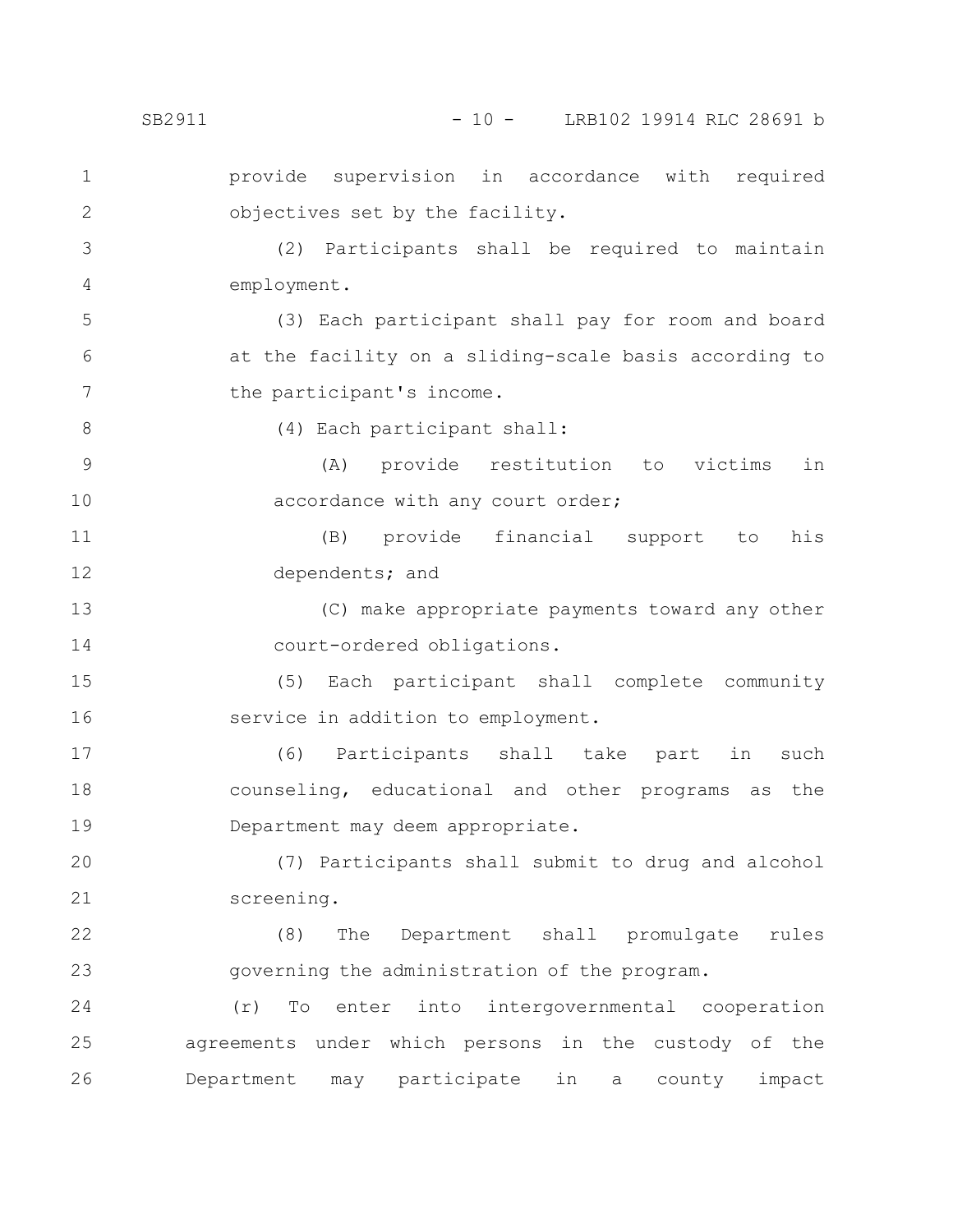SB2911 - 10 - LRB102 19914 RLC 28691 b

provide supervision in accordance with required objectives set by the facility. 1 2

(2) Participants shall be required to maintain employment. 3 4

(3) Each participant shall pay for room and board at the facility on a sliding-scale basis according to the participant's income. 5 6 7

8

(4) Each participant shall:

(A) provide restitution to victims in accordance with any court order; 9 10

(B) provide financial support to his dependents; and 11 12

(C) make appropriate payments toward any other court-ordered obligations. 13 14

(5) Each participant shall complete community service in addition to employment. 15 16

(6) Participants shall take part in such counseling, educational and other programs as the Department may deem appropriate. 17 18 19

(7) Participants shall submit to drug and alcohol screening. 20 21

(8) The Department shall promulgate rules governing the administration of the program. 22 23

(r) To enter into intergovernmental cooperation agreements under which persons in the custody of the Department may participate in a county impact 24 25 26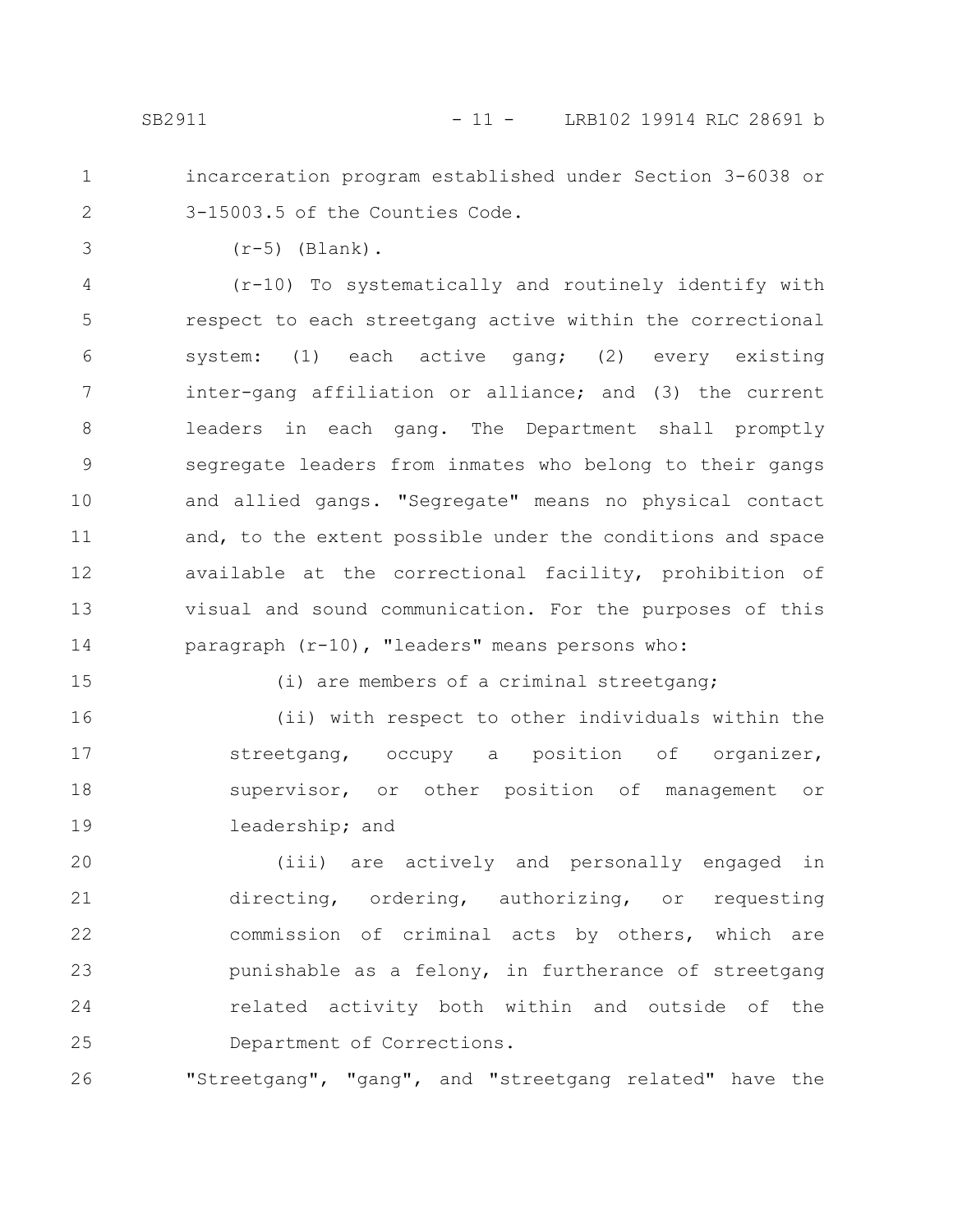- 
- 1 2

incarceration program established under Section 3-6038 or 3-15003.5 of the Counties Code.

3

 $(r-5)$  (Blank).

(r-10) To systematically and routinely identify with respect to each streetgang active within the correctional system: (1) each active gang; (2) every existing inter-gang affiliation or alliance; and (3) the current leaders in each gang. The Department shall promptly segregate leaders from inmates who belong to their gangs and allied gangs. "Segregate" means no physical contact and, to the extent possible under the conditions and space available at the correctional facility, prohibition of visual and sound communication. For the purposes of this paragraph (r-10), "leaders" means persons who: 4 5 6 7 8 9 10 11 12 13 14

15

(i) are members of a criminal streetgang;

(ii) with respect to other individuals within the streetgang, occupy a position of organizer, supervisor, or other position of management or leadership; and 16 17 18 19

(iii) are actively and personally engaged in directing, ordering, authorizing, or requesting commission of criminal acts by others, which are punishable as a felony, in furtherance of streetgang related activity both within and outside of the Department of Corrections. 20 21 22 23 24 25

"Streetgang", "gang", and "streetgang related" have the 26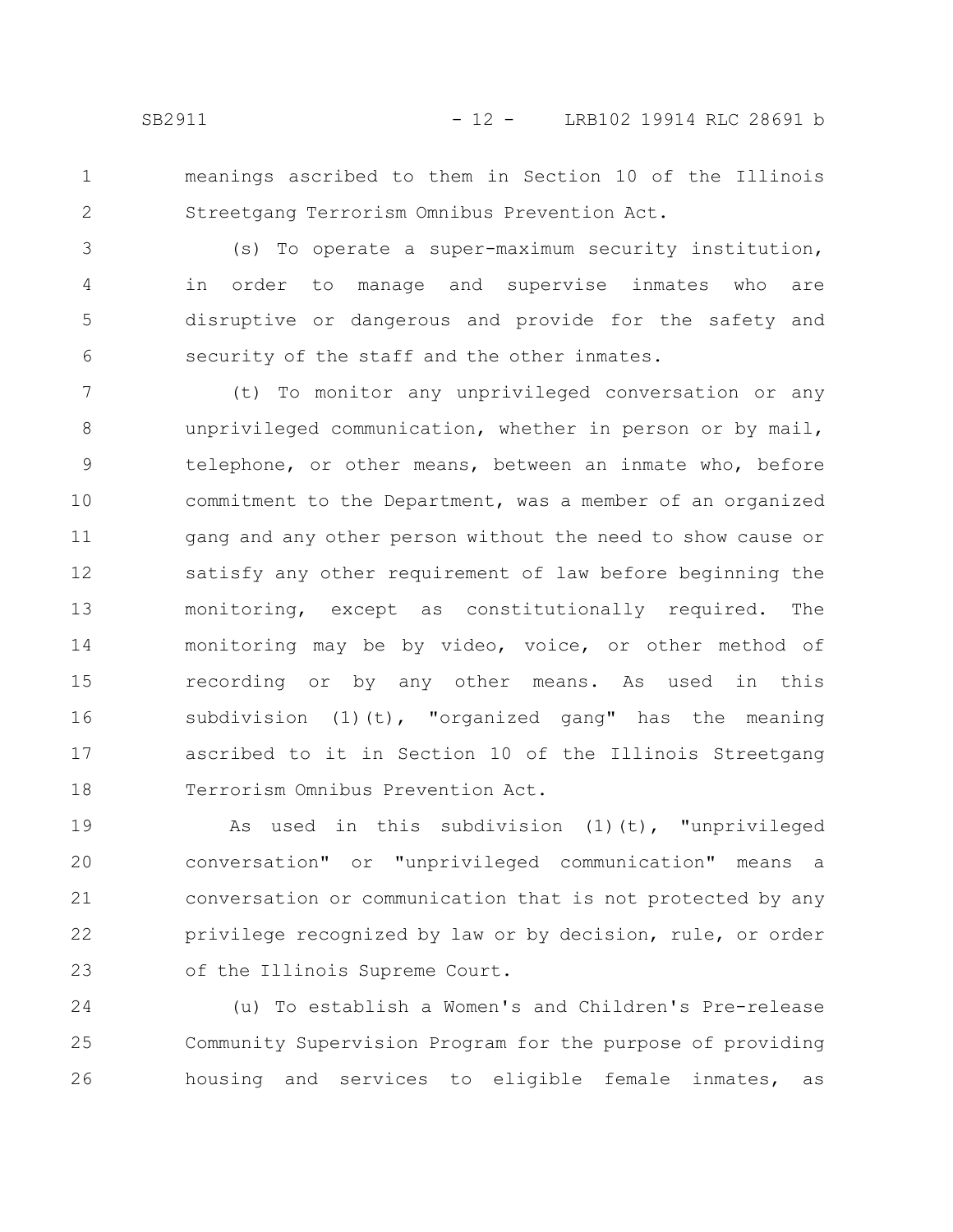1

2

meanings ascribed to them in Section 10 of the Illinois Streetgang Terrorism Omnibus Prevention Act.

(s) To operate a super-maximum security institution, in order to manage and supervise inmates who are disruptive or dangerous and provide for the safety and security of the staff and the other inmates. 3 4 5 6

(t) To monitor any unprivileged conversation or any unprivileged communication, whether in person or by mail, telephone, or other means, between an inmate who, before commitment to the Department, was a member of an organized gang and any other person without the need to show cause or satisfy any other requirement of law before beginning the monitoring, except as constitutionally required. The monitoring may be by video, voice, or other method of recording or by any other means. As used in this subdivision (1)(t), "organized gang" has the meaning ascribed to it in Section 10 of the Illinois Streetgang Terrorism Omnibus Prevention Act. 7 8 9 10 11 12 13 14 15 16 17 18

As used in this subdivision (1)(t), "unprivileged conversation" or "unprivileged communication" means a conversation or communication that is not protected by any privilege recognized by law or by decision, rule, or order of the Illinois Supreme Court. 19 20 21 22 23

(u) To establish a Women's and Children's Pre-release Community Supervision Program for the purpose of providing housing and services to eligible female inmates, as 24 25 26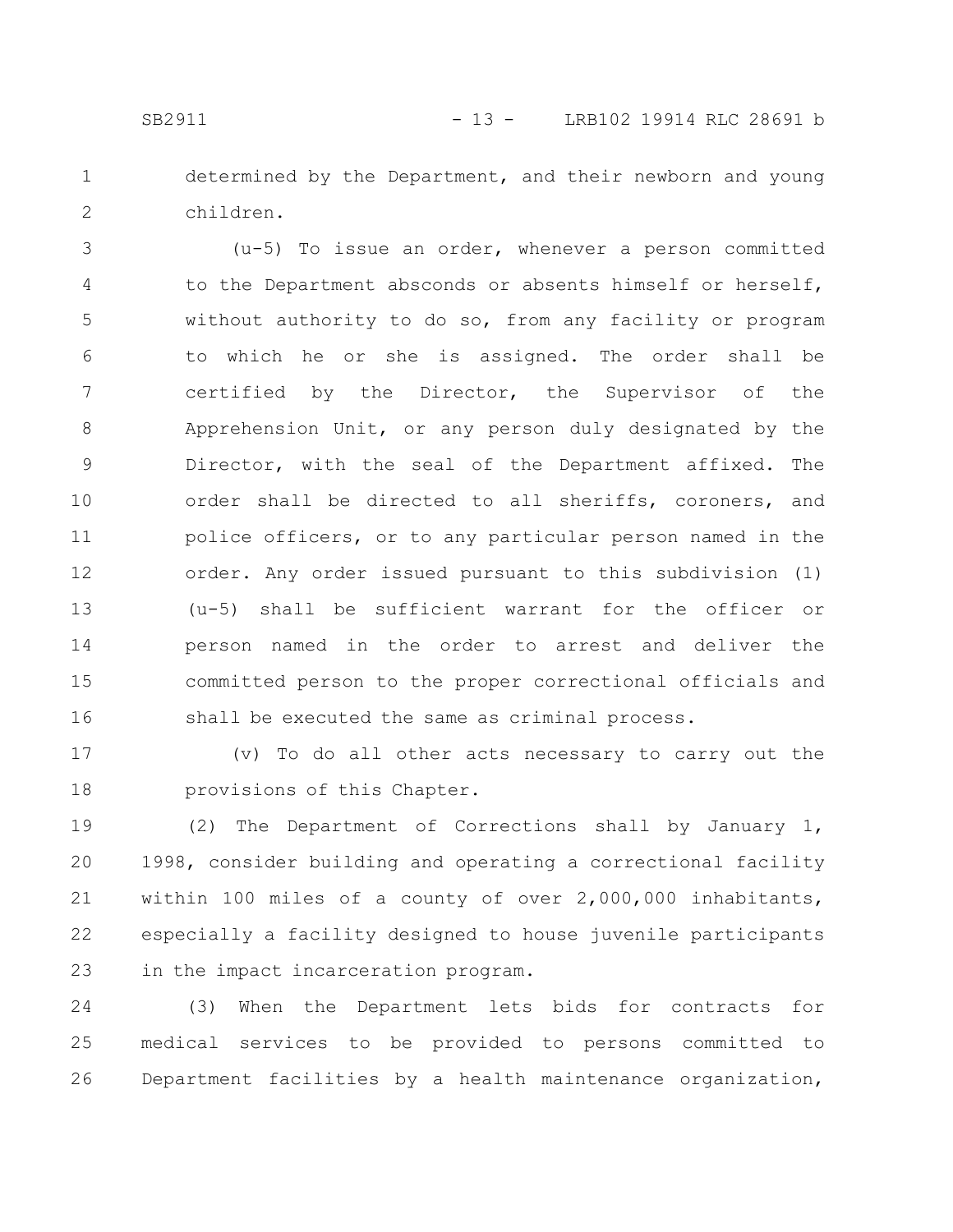determined by the Department, and their newborn and young children. 1 2

(u-5) To issue an order, whenever a person committed to the Department absconds or absents himself or herself, without authority to do so, from any facility or program to which he or she is assigned. The order shall be certified by the Director, the Supervisor of the Apprehension Unit, or any person duly designated by the Director, with the seal of the Department affixed. The order shall be directed to all sheriffs, coroners, and police officers, or to any particular person named in the order. Any order issued pursuant to this subdivision (1) (u-5) shall be sufficient warrant for the officer or person named in the order to arrest and deliver the committed person to the proper correctional officials and shall be executed the same as criminal process. 3 4 5 6 7 8 9 10 11 12 13 14 15 16

(v) To do all other acts necessary to carry out the provisions of this Chapter. 17 18

(2) The Department of Corrections shall by January 1, 1998, consider building and operating a correctional facility within 100 miles of a county of over 2,000,000 inhabitants, especially a facility designed to house juvenile participants in the impact incarceration program. 19 20 21 22 23

(3) When the Department lets bids for contracts for medical services to be provided to persons committed to Department facilities by a health maintenance organization, 24 25 26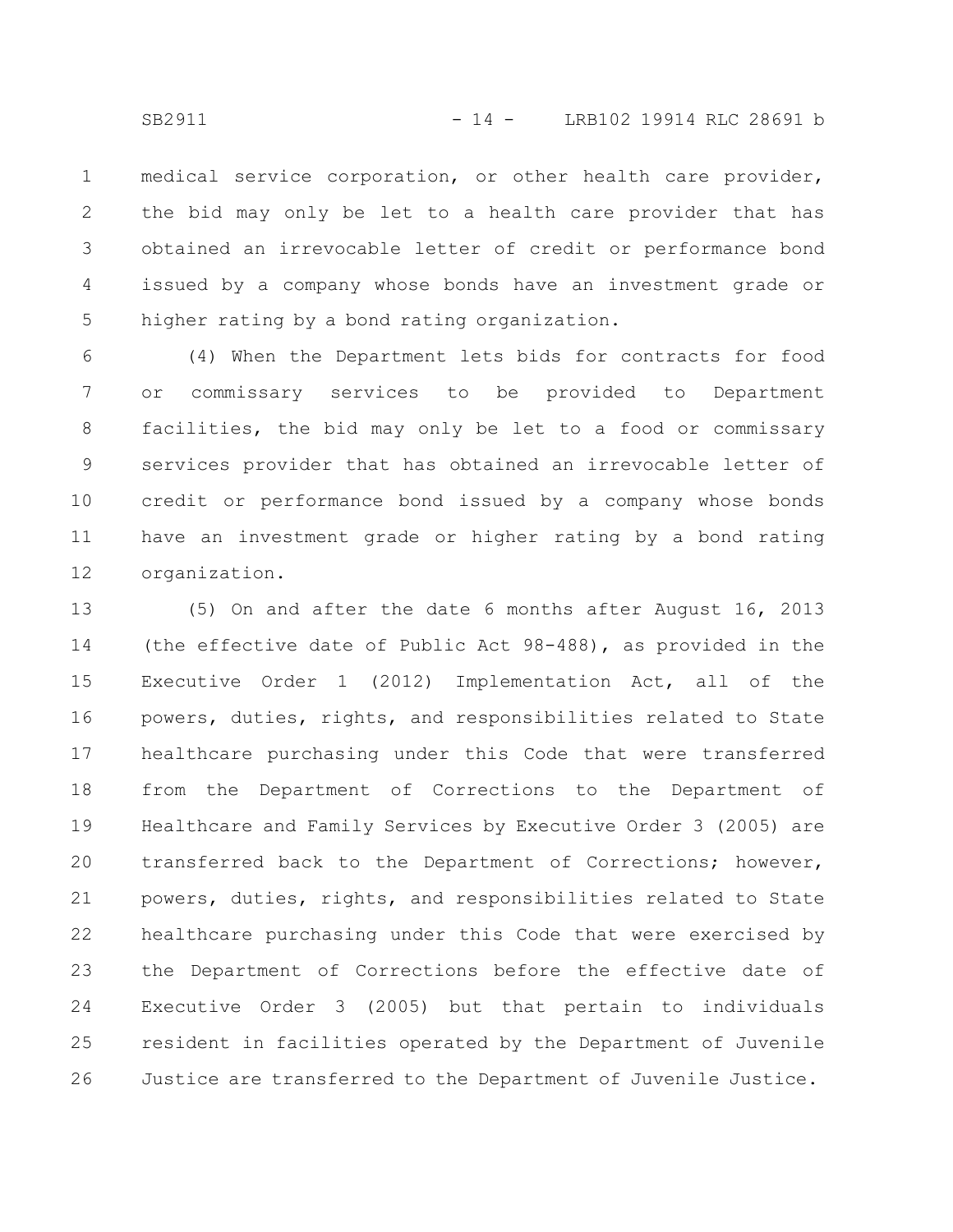medical service corporation, or other health care provider, the bid may only be let to a health care provider that has obtained an irrevocable letter of credit or performance bond issued by a company whose bonds have an investment grade or higher rating by a bond rating organization. 1 2 3 4 5

(4) When the Department lets bids for contracts for food or commissary services to be provided to Department facilities, the bid may only be let to a food or commissary services provider that has obtained an irrevocable letter of credit or performance bond issued by a company whose bonds have an investment grade or higher rating by a bond rating organization. 6 7 8 9 10 11 12

(5) On and after the date 6 months after August 16, 2013 (the effective date of Public Act 98-488), as provided in the Executive Order 1 (2012) Implementation Act, all of the powers, duties, rights, and responsibilities related to State healthcare purchasing under this Code that were transferred from the Department of Corrections to the Department of Healthcare and Family Services by Executive Order 3 (2005) are transferred back to the Department of Corrections; however, powers, duties, rights, and responsibilities related to State healthcare purchasing under this Code that were exercised by the Department of Corrections before the effective date of Executive Order 3 (2005) but that pertain to individuals resident in facilities operated by the Department of Juvenile Justice are transferred to the Department of Juvenile Justice. 13 14 15 16 17 18 19 20 21 22 23 24 25 26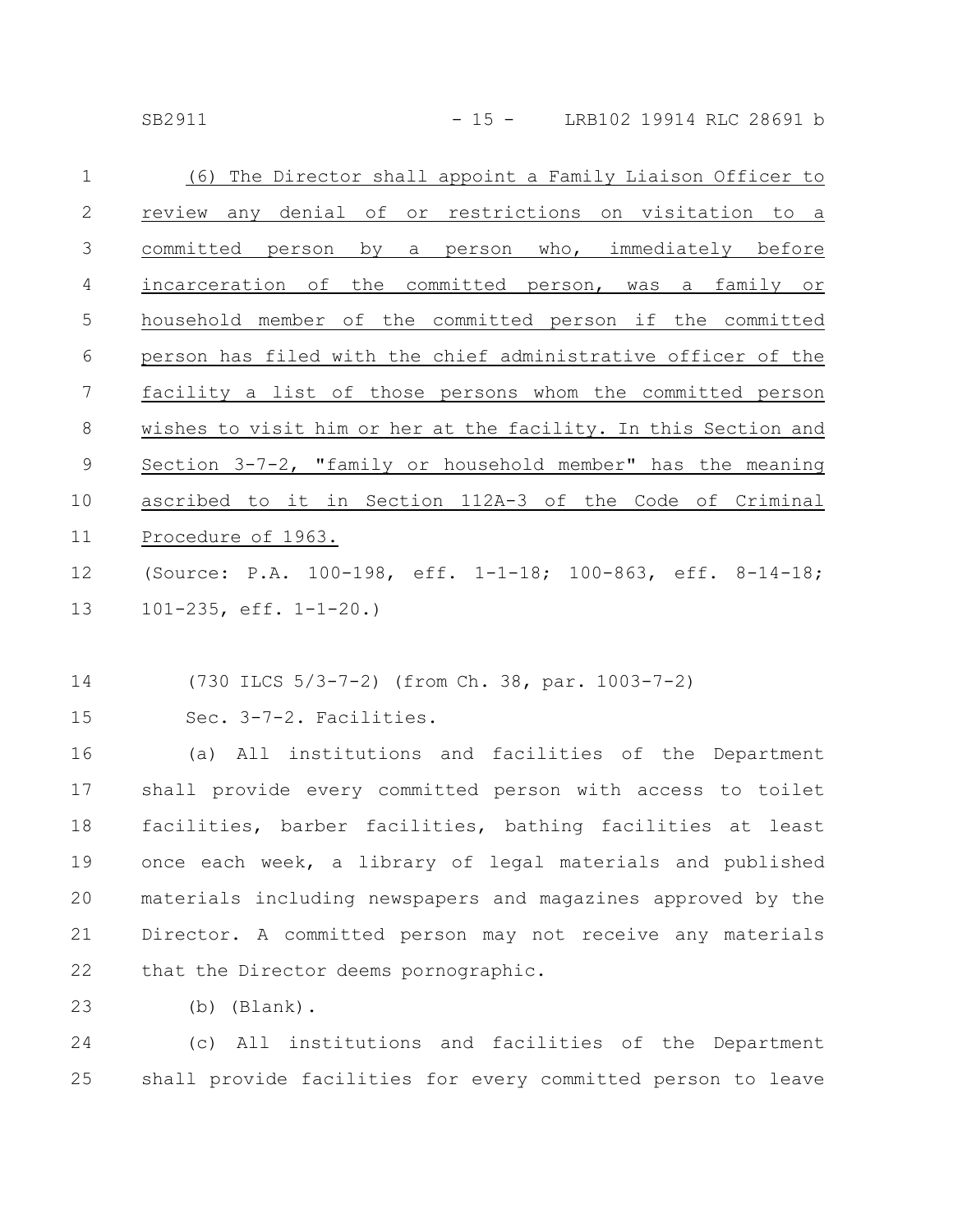SB2911 - 15 - LRB102 19914 RLC 28691 b

| $\mathbf 1$    | (6) The Director shall appoint a Family Liaison Officer to      |
|----------------|-----------------------------------------------------------------|
| 2              | review any denial of or restrictions on visitation to a         |
| 3              | by a person who, immediately before<br>committed<br>person      |
| $\overline{4}$ | incarceration of the committed person, was a family or          |
| 5              | household member of the committed person if the committed       |
| 6              | person has filed with the chief administrative officer of the   |
| 7              | facility a list of those persons whom the committed person      |
| 8              | wishes to visit him or her at the facility. In this Section and |
| 9              | Section 3-7-2, "family or household member" has the meaning     |
| 10             | ascribed to it in Section 112A-3 of the Code of Criminal        |
| 11             | Procedure of 1963.                                              |
|                |                                                                 |

(Source: P.A. 100-198, eff. 1-1-18; 100-863, eff. 8-14-18; 101-235, eff. 1-1-20.) 12 13

(730 ILCS 5/3-7-2) (from Ch. 38, par. 1003-7-2) 14

Sec. 3-7-2. Facilities. 15

(a) All institutions and facilities of the Department shall provide every committed person with access to toilet facilities, barber facilities, bathing facilities at least once each week, a library of legal materials and published materials including newspapers and magazines approved by the Director. A committed person may not receive any materials that the Director deems pornographic. 16 17 18 19 20 21 22

(b) (Blank). 23

(c) All institutions and facilities of the Department shall provide facilities for every committed person to leave 24 25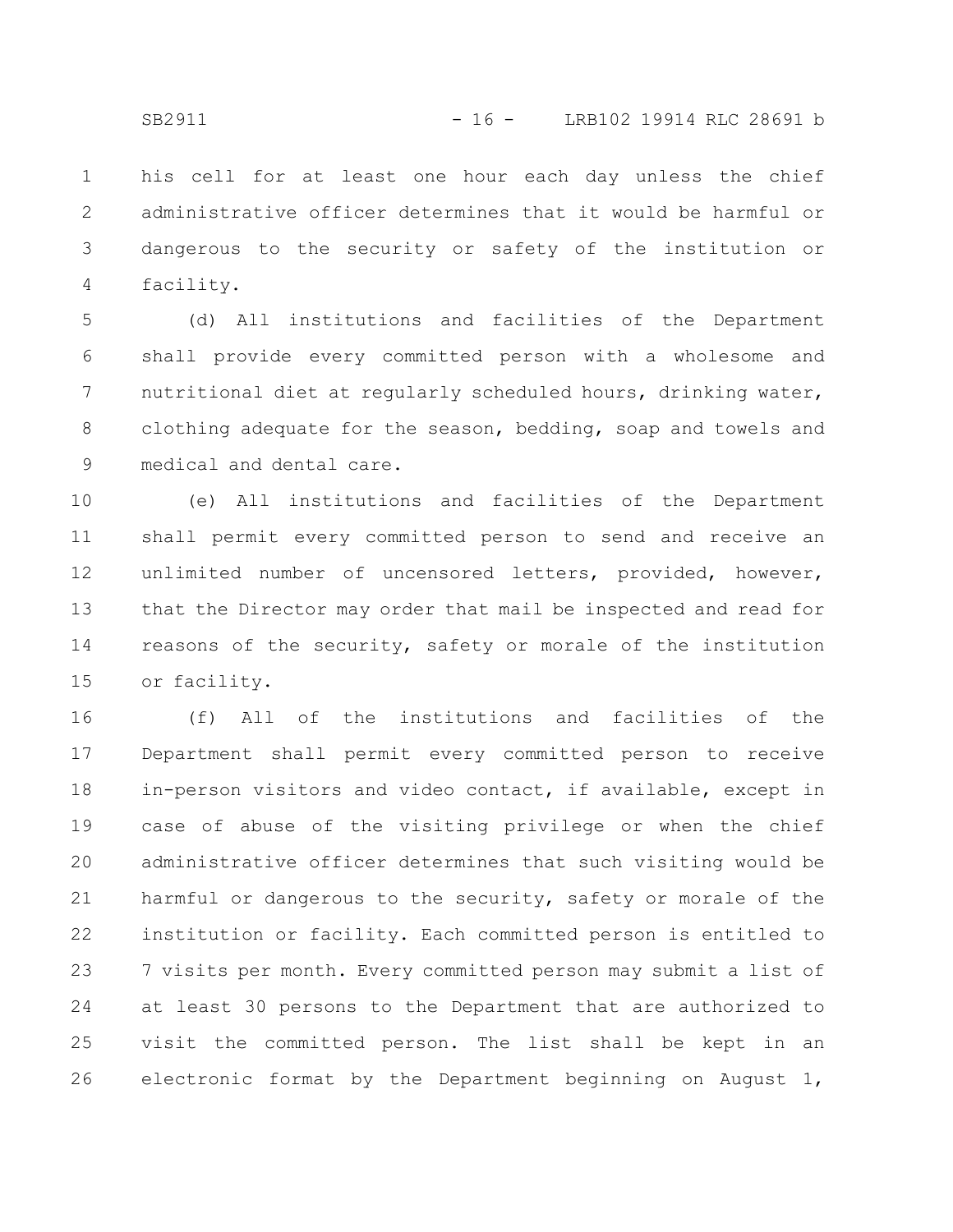his cell for at least one hour each day unless the chief administrative officer determines that it would be harmful or dangerous to the security or safety of the institution or facility. 1 2 3 4

(d) All institutions and facilities of the Department shall provide every committed person with a wholesome and nutritional diet at regularly scheduled hours, drinking water, clothing adequate for the season, bedding, soap and towels and medical and dental care. 5 6 7 8 9

(e) All institutions and facilities of the Department shall permit every committed person to send and receive an unlimited number of uncensored letters, provided, however, that the Director may order that mail be inspected and read for reasons of the security, safety or morale of the institution or facility. 10 11 12 13 14 15

(f) All of the institutions and facilities of the Department shall permit every committed person to receive in-person visitors and video contact, if available, except in case of abuse of the visiting privilege or when the chief administrative officer determines that such visiting would be harmful or dangerous to the security, safety or morale of the institution or facility. Each committed person is entitled to 7 visits per month. Every committed person may submit a list of at least 30 persons to the Department that are authorized to visit the committed person. The list shall be kept in an electronic format by the Department beginning on August 1, 16 17 18 19 20 21 22 23 24 25 26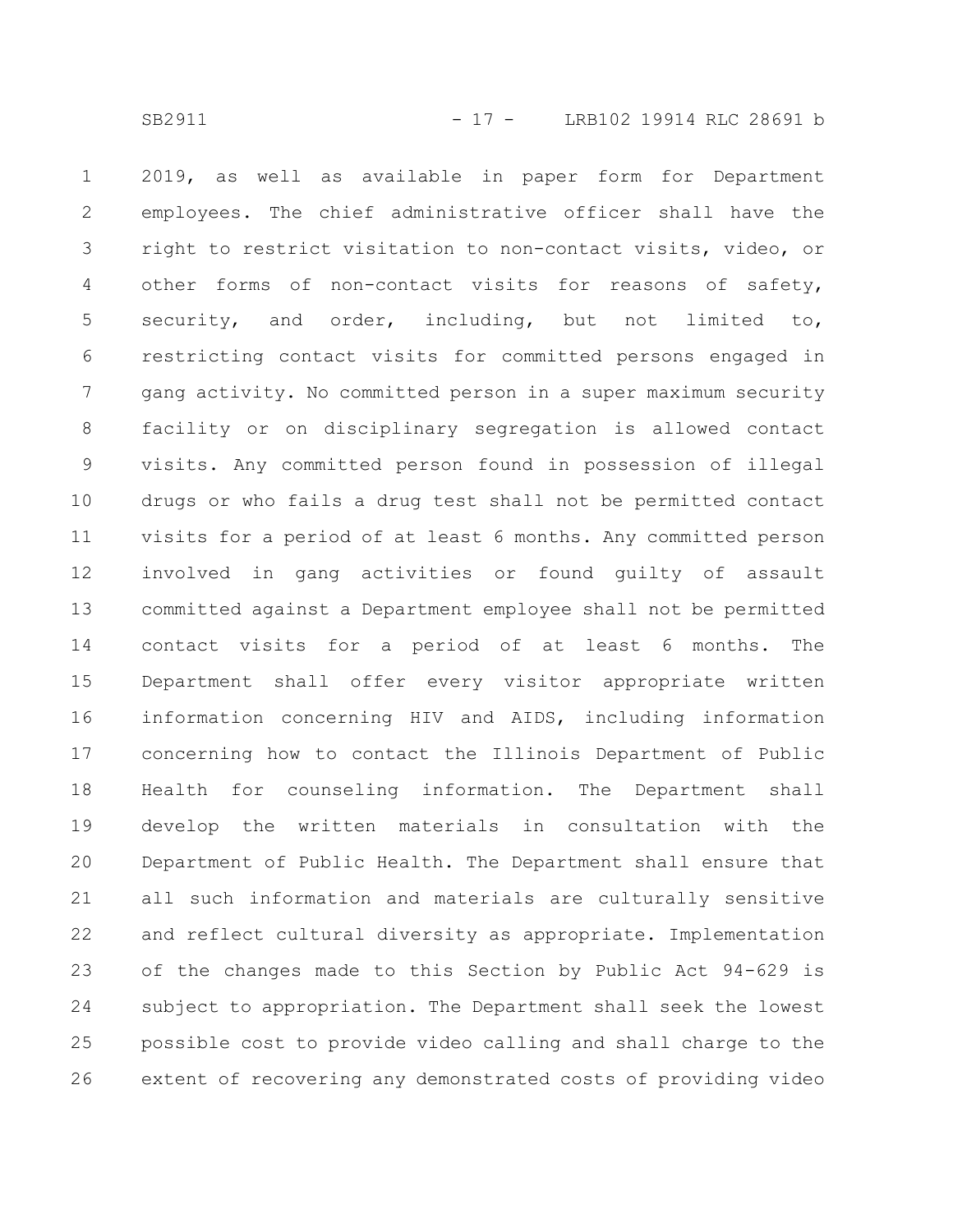2019, as well as available in paper form for Department employees. The chief administrative officer shall have the right to restrict visitation to non-contact visits, video, or other forms of non-contact visits for reasons of safety, security, and order, including, but not limited to, restricting contact visits for committed persons engaged in gang activity. No committed person in a super maximum security facility or on disciplinary segregation is allowed contact visits. Any committed person found in possession of illegal drugs or who fails a drug test shall not be permitted contact visits for a period of at least 6 months. Any committed person involved in gang activities or found guilty of assault committed against a Department employee shall not be permitted contact visits for a period of at least 6 months. The Department shall offer every visitor appropriate written information concerning HIV and AIDS, including information concerning how to contact the Illinois Department of Public Health for counseling information. The Department shall develop the written materials in consultation with the Department of Public Health. The Department shall ensure that all such information and materials are culturally sensitive and reflect cultural diversity as appropriate. Implementation of the changes made to this Section by Public Act 94-629 is subject to appropriation. The Department shall seek the lowest possible cost to provide video calling and shall charge to the extent of recovering any demonstrated costs of providing video 1 2 3 4 5 6 7 8 9 10 11 12 13 14 15 16 17 18 19 20 21 22 23 24 25 26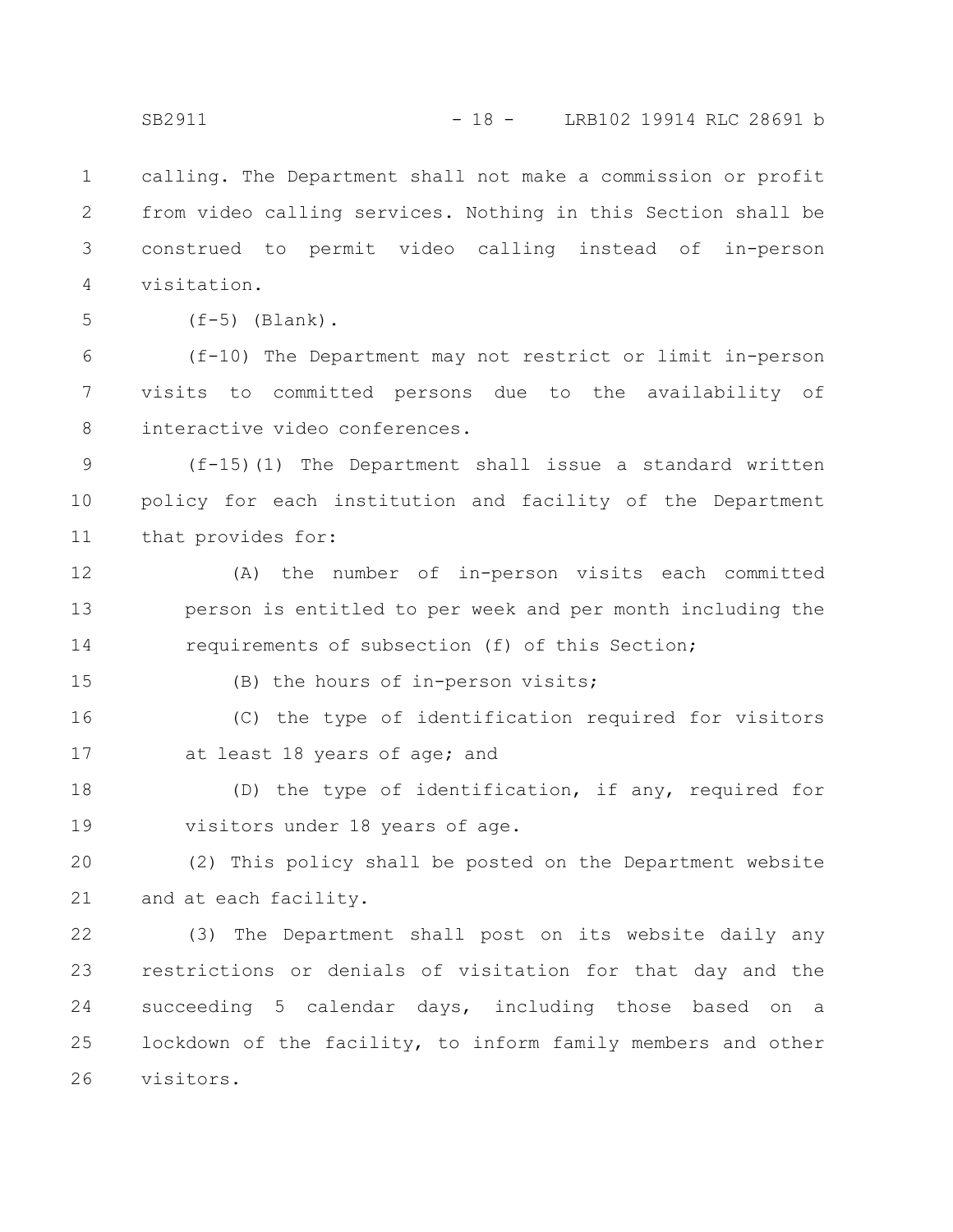calling. The Department shall not make a commission or profit from video calling services. Nothing in this Section shall be construed to permit video calling instead of in-person visitation. 1 2 3 4

5

 $(f-5)$  (Blank).

(f-10) The Department may not restrict or limit in-person visits to committed persons due to the availability of interactive video conferences. 6 7 8

(f-15)(1) The Department shall issue a standard written policy for each institution and facility of the Department that provides for: 9 10 11

(A) the number of in-person visits each committed person is entitled to per week and per month including the requirements of subsection (f) of this Section; 12 13 14

15

(B) the hours of in-person visits;

(C) the type of identification required for visitors at least 18 years of age; and 16 17

(D) the type of identification, if any, required for visitors under 18 years of age. 18 19

(2) This policy shall be posted on the Department website and at each facility. 20 21

(3) The Department shall post on its website daily any restrictions or denials of visitation for that day and the succeeding 5 calendar days, including those based on a lockdown of the facility, to inform family members and other visitors. 22 23 24 25 26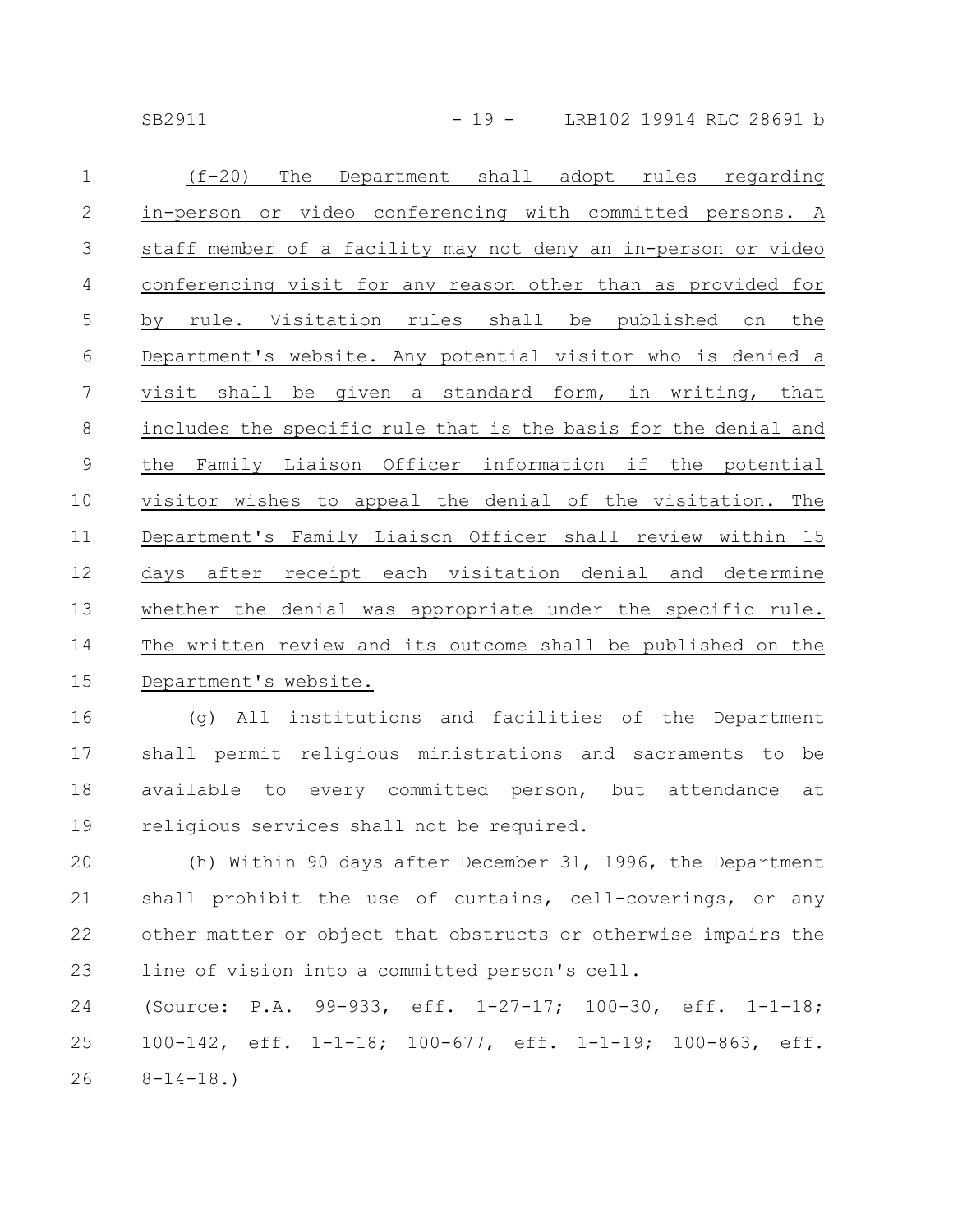SB2911 - 19 - LRB102 19914 RLC 28691 b

| $\mathbf 1$    | $(f-20)$<br>Department shall adopt<br>The<br>rules<br>regarding |
|----------------|-----------------------------------------------------------------|
| $\mathbf{2}$   | in-person or video conferencing with committed persons. A       |
| $\mathcal{S}$  | staff member of a facility may not deny an in-person or video   |
| $\overline{4}$ | conferencing visit for any reason other than as provided for    |
| 5              | rule. Visitation rules shall be<br>published<br>the<br>by<br>on |
| 6              | Department's website. Any potential visitor who is denied a     |
| 7              | given a standard form, in writing, that<br>visit shall be       |
| $\,8\,$        | includes the specific rule that is the basis for the denial and |
| $\mathcal{G}$  | Family Liaison Officer information if the potential<br>the      |
| 10             | visitor wishes to appeal the denial of the visitation. The      |
| 11             | Department's Family Liaison Officer shall review within 15      |
| 12             | days after receipt each visitation denial and determine         |
| 13             | whether the denial was appropriate under the specific rule.     |
| 14             | The written review and its outcome shall be published on the    |
| 15             | Department's website.                                           |

(g) All institutions and facilities of the Department shall permit religious ministrations and sacraments to be available to every committed person, but attendance at religious services shall not be required. 16 17 18 19

(h) Within 90 days after December 31, 1996, the Department shall prohibit the use of curtains, cell-coverings, or any other matter or object that obstructs or otherwise impairs the line of vision into a committed person's cell. 20 21 22 23

(Source: P.A. 99-933, eff. 1-27-17; 100-30, eff. 1-1-18; 100-142, eff. 1-1-18; 100-677, eff. 1-1-19; 100-863, eff.  $8-14-18.$ 24 25 26